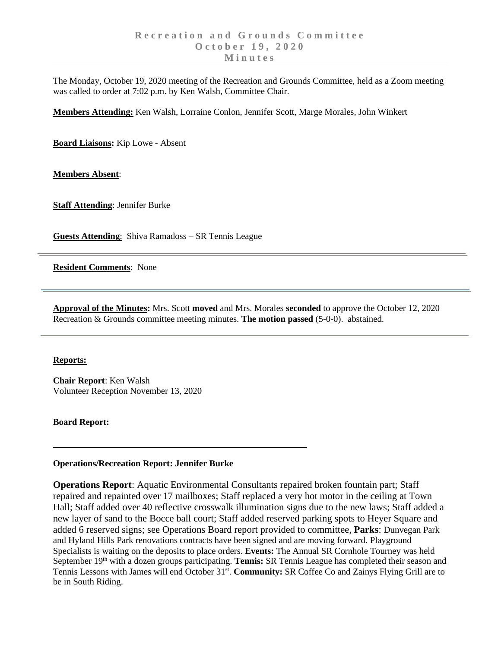The Monday, October 19, 2020 meeting of the Recreation and Grounds Committee, held as a Zoom meeting was called to order at 7:02 p.m. by Ken Walsh, Committee Chair.

**Members Attending:** Ken Walsh, Lorraine Conlon, Jennifer Scott, Marge Morales, John Winkert

**Board Liaisons:** Kip Lowe - Absent

**Members Absent**:

**Staff Attending**: Jennifer Burke

**Guests Attending**: Shiva Ramadoss – SR Tennis League

**Resident Comments**: None

**Approval of the Minutes:** Mrs. Scott **moved** and Mrs. Morales **seconded** to approve the October 12, 2020 Recreation & Grounds committee meeting minutes. **The motion passed** (5-0-0). abstained.

## **Reports:**

**Chair Report**: Ken Walsh Volunteer Reception November 13, 2020

**Board Report:**

## **Operations/Recreation Report: Jennifer Burke**

**Operations Report**: Aquatic Environmental Consultants repaired broken fountain part; Staff repaired and repainted over 17 mailboxes; Staff replaced a very hot motor in the ceiling at Town Hall; Staff added over 40 reflective crosswalk illumination signs due to the new laws; Staff added a new layer of sand to the Bocce ball court; Staff added reserved parking spots to Heyer Square and added 6 reserved signs; see Operations Board report provided to committee, **Parks**: Dunvegan Park and Hyland Hills Park renovations contracts have been signed and are moving forward. Playground Specialists is waiting on the deposits to place orders. **Events:** The Annual SR Cornhole Tourney was held September 19<sup>th</sup> with a dozen groups participating. Tennis: SR Tennis League has completed their season and Tennis Lessons with James will end October 31<sup>st</sup>. Community: SR Coffee Co and Zainys Flying Grill are to be in South Riding.